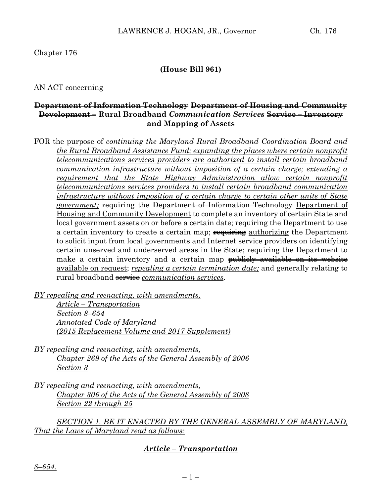## Chapter 176

#### **(House Bill 961)**

AN ACT concerning

### **Department of Information Technology Department of Housing and Community Development – Rural Broadband** *Communication Services* **Service – Inventory and Mapping of Assets**

FOR the purpose of *continuing the Maryland Rural Broadband Coordination Board and the Rural Broadband Assistance Fund; expanding the places where certain nonprofit telecommunications services providers are authorized to install certain broadband communication infrastructure without imposition of a certain charge; extending a requirement that the State Highway Administration allow certain nonprofit telecommunications services providers to install certain broadband communication infrastructure without imposition of a certain charge to certain other units of State government;* requiring the Department of Information Technology Department of Housing and Community Development to complete an inventory of certain State and local government assets on or before a certain date; requiring the Department to use a certain inventory to create a certain map; **requiring** authorizing the Department to solicit input from local governments and Internet service providers on identifying certain unserved and underserved areas in the State; requiring the Department to make a certain inventory and a certain map <del>publicly available on its website</del> available on request; *repealing a certain termination date;* and generally relating to rural broadband service *communication services*.

*BY repealing and reenacting, with amendments,*

*Article – Transportation Section 8–654 Annotated Code of Maryland (2015 Replacement Volume and 2017 Supplement)*

- *BY repealing and reenacting, with amendments, Chapter 269 of the Acts of the General Assembly of 2006 Section 3*
- *BY repealing and reenacting, with amendments, Chapter 306 of the Acts of the General Assembly of 2008 Section 22 through 25*

*SECTION 1. BE IT ENACTED BY THE GENERAL ASSEMBLY OF MARYLAND, That the Laws of Maryland read as follows:*

## *Article – Transportation*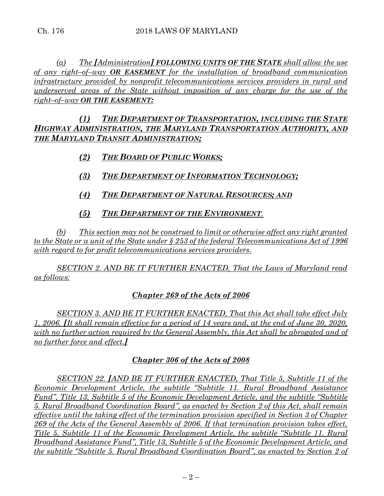*(a) The [Administration] FOLLOWING UNITS OF THE STATE shall allow the use of any right–of–way OR EASEMENT for the installation of broadband communication infrastructure provided by nonprofit telecommunications services providers in rural and underserved areas of the State without imposition of any charge for the use of the right–of–way OR THE EASEMENT:*

*(1) THE DEPARTMENT OF TRANSPORTATION, INCLUDING THE STATE HIGHWAY ADMINISTRATION, THE MARYLAND TRANSPORTATION AUTHORITY, AND THE MARYLAND TRANSIT ADMINISTRATION;*

- *(2) THE BOARD OF PUBLIC WORKS;*
- *(3) THE DEPARTMENT OF INFORMATION TECHNOLOGY;*
- *(4) THE DEPARTMENT OF NATURAL RESOURCES; AND*
- *(5) THE DEPARTMENT OF THE ENVIRONMENT.*

*(b) This section may not be construed to limit or otherwise affect any right granted to the State or a unit of the State under § 253 of the federal Telecommunications Act of 1996 with regard to for profit telecommunications services providers.*

*SECTION 2. AND BE IT FURTHER ENACTED, That the Laws of Maryland read as follows:*

# *Chapter 269 of the Acts of 2006*

*SECTION 3. AND BE IT FURTHER ENACTED, That this Act shall take effect July 1, 2006. [It shall remain effective for a period of 14 years and, at the end of June 30, 2020, with no further action required by the General Assembly, this Act shall be abrogated and of no further force and effect.]*

# *Chapter 306 of the Acts of 2008*

*SECTION 22. [AND BE IT FURTHER ENACTED, That Title 5, Subtitle 11 of the Economic Development Article, the subtitle "Subtitle 11. Rural Broadband Assistance Fund", Title 13, Subtitle 5 of the Economic Development Article, and the subtitle "Subtitle 5. Rural Broadband Coordination Board", as enacted by Section 2 of this Act, shall remain effective until the taking effect of the termination provision specified in Section 3 of Chapter 269 of the Acts of the General Assembly of 2006. If that termination provision takes effect, Title 5, Subtitle 11 of the Economic Development Article, the subtitle "Subtitle 11. Rural Broadband Assistance Fund", Title 13, Subtitle 5 of the Economic Development Article, and the subtitle "Subtitle 5. Rural Broadband Coordination Board", as enacted by Section 2 of*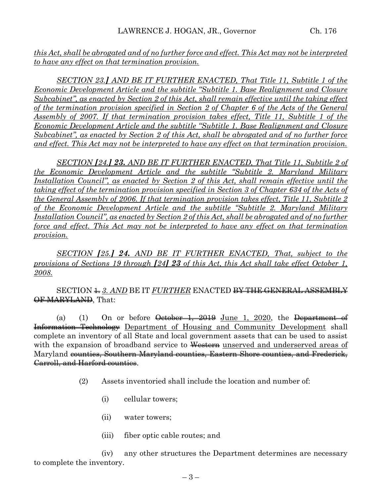*this Act, shall be abrogated and of no further force and effect. This Act may not be interpreted to have any effect on that termination provision.*

*SECTION 23.] AND BE IT FURTHER ENACTED, That Title 11, Subtitle 1 of the Economic Development Article and the subtitle "Subtitle 1. Base Realignment and Closure Subcabinet", as enacted by Section 2 of this Act, shall remain effective until the taking effect of the termination provision specified in Section 2 of Chapter 6 of the Acts of the General Assembly of 2007. If that termination provision takes effect, Title 11, Subtitle 1 of the Economic Development Article and the subtitle "Subtitle 1. Base Realignment and Closure Subcabinet", as enacted by Section 2 of this Act, shall be abrogated and of no further force and effect. This Act may not be interpreted to have any effect on that termination provision.*

*SECTION [24.] 23. AND BE IT FURTHER ENACTED, That Title 11, Subtitle 2 of the Economic Development Article and the subtitle "Subtitle 2. Maryland Military Installation Council", as enacted by Section 2 of this Act, shall remain effective until the taking effect of the termination provision specified in Section 3 of Chapter 634 of the Acts of the General Assembly of 2006. If that termination provision takes effect, Title 11, Subtitle 2 of the Economic Development Article and the subtitle "Subtitle 2. Maryland Military Installation Council", as enacted by Section 2 of this Act, shall be abrogated and of no further force and effect. This Act may not be interpreted to have any effect on that termination provision.*

*SECTION [25.] 24. AND BE IT FURTHER ENACTED, That, subject to the provisions of Sections 19 through [24] 23 of this Act, this Act shall take effect October 1, 2008.* 

SECTION  $\pm$  3. AND BE IT *FURTHER* ENACTED <del>BY THE GENERAL ASSEMBLY</del> OF MARYLAND, That:

(a) (1) On or before  $\theta$  otober 1, 2019 June 1, 2020, the Department of Information Technology Department of Housing and Community Development shall complete an inventory of all State and local government assets that can be used to assist with the expansion of broadband service to Western unserved and underserved areas of Maryland counties, Southern Maryland counties, Eastern Shore counties, and Frederick, Carroll, and Harford counties.

- (2) Assets inventoried shall include the location and number of:
	- (i) cellular towers;
	- (ii) water towers;
	- (iii) fiber optic cable routes; and

(iv) any other structures the Department determines are necessary to complete the inventory.